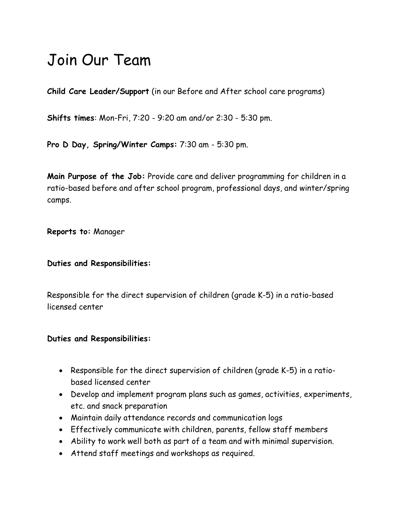# Join Our Team

**Child Care Leader/Support** (in our Before and After school care programs)

**Shifts times**: Mon-Fri, 7:20 - 9:20 am and/or 2:30 - 5:30 pm.

**Pro D Day, Spring/Winter Camps:** 7:30 am - 5:30 pm.

**Main Purpose of the Job:** Provide care and deliver programming for children in a ratio-based before and after school program, professional days, and winter/spring camps.

**Reports to:** Manager

**Duties and Responsibilities:** 

Responsible for the direct supervision of children (grade K-5) in a ratio-based licensed center

#### **Duties and Responsibilities:**

- Responsible for the direct supervision of children (grade K-5) in a ratiobased licensed center
- Develop and implement program plans such as games, activities, experiments, etc. and snack preparation
- Maintain daily attendance records and communication logs
- Effectively communicate with children, parents, fellow staff members
- Ability to work well both as part of a team and with minimal supervision.
- Attend staff meetings and workshops as required.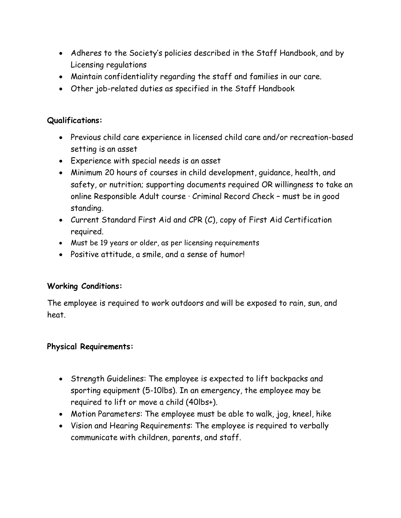- Adheres to the Society's policies described in the Staff Handbook, and by Licensing regulations
- Maintain confidentiality regarding the staff and families in our care.
- Other job-related duties as specified in the Staff Handbook

### **Qualifications:**

- Previous child care experience in licensed child care and/or recreation-based setting is an asset
- Experience with special needs is an asset
- Minimum 20 hours of courses in child development, guidance, health, and safety, or nutrition; supporting documents required OR willingness to take an online Responsible Adult course · Criminal Record Check – must be in good standing.
- Current Standard First Aid and CPR (C), copy of First Aid Certification required.
- Must be 19 years or older, as per licensing requirements
- Positive attitude, a smile, and a sense of humor!

## **Working Conditions:**

The employee is required to work outdoors and will be exposed to rain, sun, and heat.

#### **Physical Requirements:**

- Strength Guidelines: The employee is expected to lift backpacks and sporting equipment (5-10lbs). In an emergency, the employee may be required to lift or move a child (40lbs+).
- Motion Parameters: The employee must be able to walk, jog, kneel, hike
- Vision and Hearing Requirements: The employee is required to verbally communicate with children, parents, and staff.